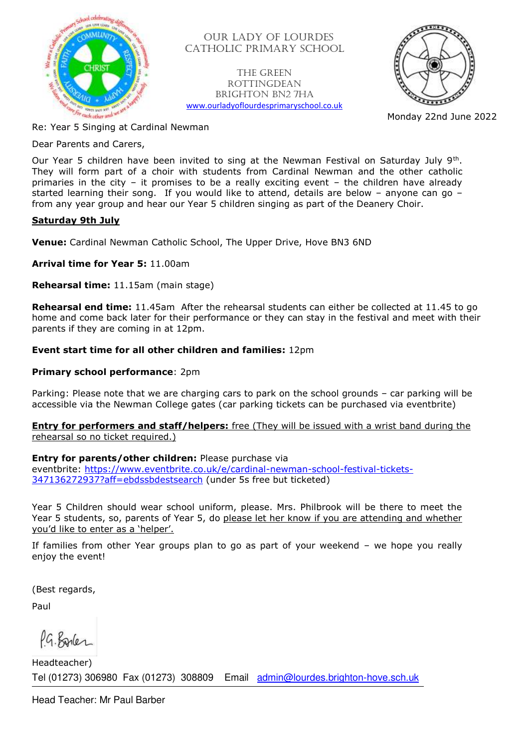

 OUR LADY OF LOURDES CATHOLIC PRIMARY SCHOOL

The Green **ROTTINGDEAN** Brighton BN2 7HA [www.ourladyoflourdesprimaryschool.co.uk](http://www.ourladyoflourdesprimaryschool.co.uk/)



Monday 22nd June 2022

Re: Year 5 Singing at Cardinal Newman

Dear Parents and Carers,

Our Year 5 children have been invited to sing at the Newman Festival on Saturday July 9<sup>th</sup>. They will form part of a choir with students from Cardinal Newman and the other catholic primaries in the city – it promises to be a really exciting event – the children have already started learning their song. If you would like to attend, details are below – anyone can go – from any year group and hear our Year 5 children singing as part of the Deanery Choir.

## **Saturday 9th July**

**Venue:** Cardinal Newman Catholic School, The Upper Drive, Hove BN3 6ND

**Arrival time for Year 5:** 11.00am

**Rehearsal time:** 11.15am (main stage)

**Rehearsal end time:** 11.45am After the rehearsal students can either be collected at 11.45 to go home and come back later for their performance or they can stay in the festival and meet with their parents if they are coming in at 12pm.

## **Event start time for all other children and families:** 12pm

## **Primary school performance: 2pm**

Parking: Please note that we are charging cars to park on the school grounds – car parking will be accessible via the Newman College gates (car parking tickets can be purchased via eventbrite)

**Entry for performers and staff/helpers:** free (They will be issued with a wrist band during the rehearsal so no ticket required.)

**Entry for parents/other children:** Please purchase via eventbrite: [https://www.eventbrite.co.uk/e/cardinal-newman-school-festival-tickets-](https://www.eventbrite.co.uk/e/cardinal-newman-school-festival-tickets-347136272937?aff=ebdssbdestsearch)[347136272937?aff=ebdssbdestsearch](https://www.eventbrite.co.uk/e/cardinal-newman-school-festival-tickets-347136272937?aff=ebdssbdestsearch) (under 5s free but ticketed)

Year 5 Children should wear school uniform, please. Mrs. Philbrook will be there to meet the Year 5 students, so, parents of Year 5, do please let her know if you are attending and whether you'd like to enter as a 'helper'.

If families from other Year groups plan to go as part of your weekend – we hope you really enjoy the event!

(Best regards,

Paul

PG. Banker

Tel (01273) 306980 Fax (01273) 308809 Email [admin@lourdes.brighton-hove.sch.uk](mailto:admin@lourdes.brighton-hove.sch.uk) Headteacher)